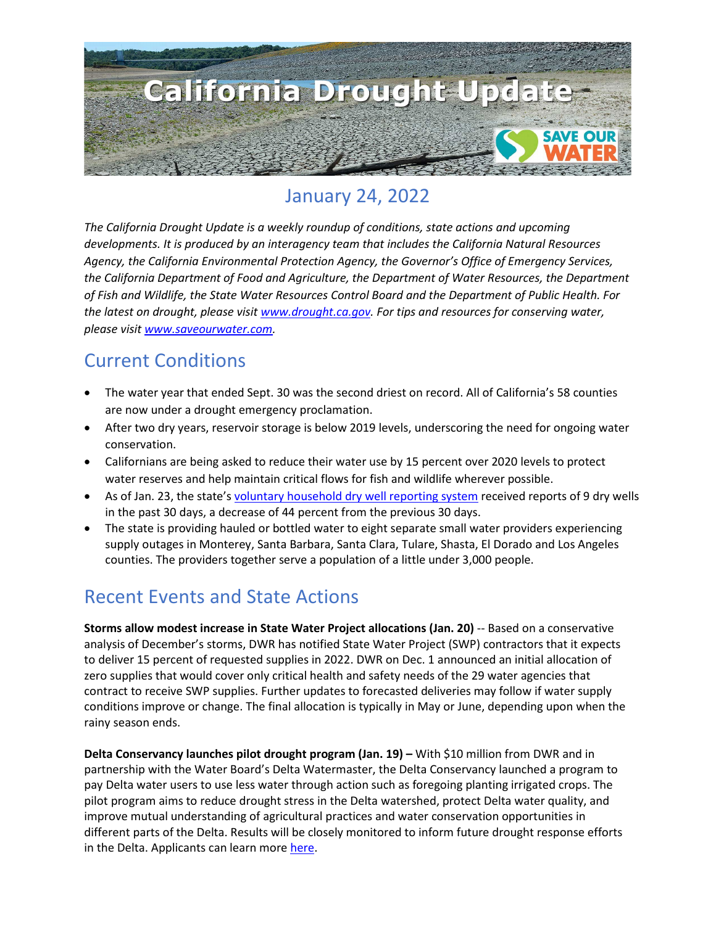

# January 24, 2022

*The California Drought Update is a weekly roundup of conditions, state actions and upcoming developments. It is produced by an interagency team that includes the California Natural Resources Agency, the California Environmental Protection Agency, the Governor's Office of Emergency Services, the California Department of Food and Agriculture, the Department of Water Resources, the Department of Fish and Wildlife, the State Water Resources Control Board and the Department of Public Health. For the latest on drought, please visit [www.drought.ca.gov.](http://www.drought.ca.gov/) For tips and resources for conserving water, please visit [www.saveourwater.com.](http://www.saveourwater.com/)*

## Current Conditions

- The water year that ended Sept. 30 was the second driest on record. All of California's 58 counties are now under a drought emergency proclamation.
- After two dry years, reservoir storage is below 2019 levels, underscoring the need for ongoing water conservation.
- Californians are being asked to reduce their water use by 15 percent over 2020 levels to protect water reserves and help maintain critical flows for fish and wildlife wherever possible.
- As of Jan. 23, the state's [voluntary household dry well reporting system](https://mydrywell.water.ca.gov/report/) received reports of 9 dry wells in the past 30 days, a decrease of 44 percent from the previous 30 days.
- The state is providing hauled or bottled water to eight separate small water providers experiencing supply outages in Monterey, Santa Barbara, Santa Clara, Tulare, Shasta, El Dorado and Los Angeles counties. The providers together serve a population of a little under 3,000 people.

## Recent Events and State Actions

**Storms allow modest increase in State Water Project allocations (Jan. 20)** -- Based on a conservative analysis of December's storms, DWR has notified State Water Project (SWP) contractors that it expects to deliver 15 percent of requested supplies in 2022. DWR on Dec. 1 announced an initial allocation of zero supplies that would cover only critical health and safety needs of the 29 water agencies that contract to receive SWP supplies. Further updates to forecasted deliveries may follow if water supply conditions improve or change. The final allocation is typically in May or June, depending upon when the rainy season ends.

**Delta Conservancy launches pilot drought program (Jan. 19) –** With \$10 million from DWR and in partnership with the Water Board's Delta Watermaster, the Delta Conservancy launched a program to pay Delta water users to use less water through action such as foregoing planting irrigated crops. The pilot program aims to reduce drought stress in the Delta watershed, protect Delta water quality, and improve mutual understanding of agricultural practices and water conservation opportunities in different parts of the Delta. Results will be closely monitored to inform future drought response efforts in the Delta. Applicants can learn more [here.](http://deltaconservancy.ca.gov/wp-content/uploads/2022/01/DDRPP-Solicitation-1.18.22.pdf)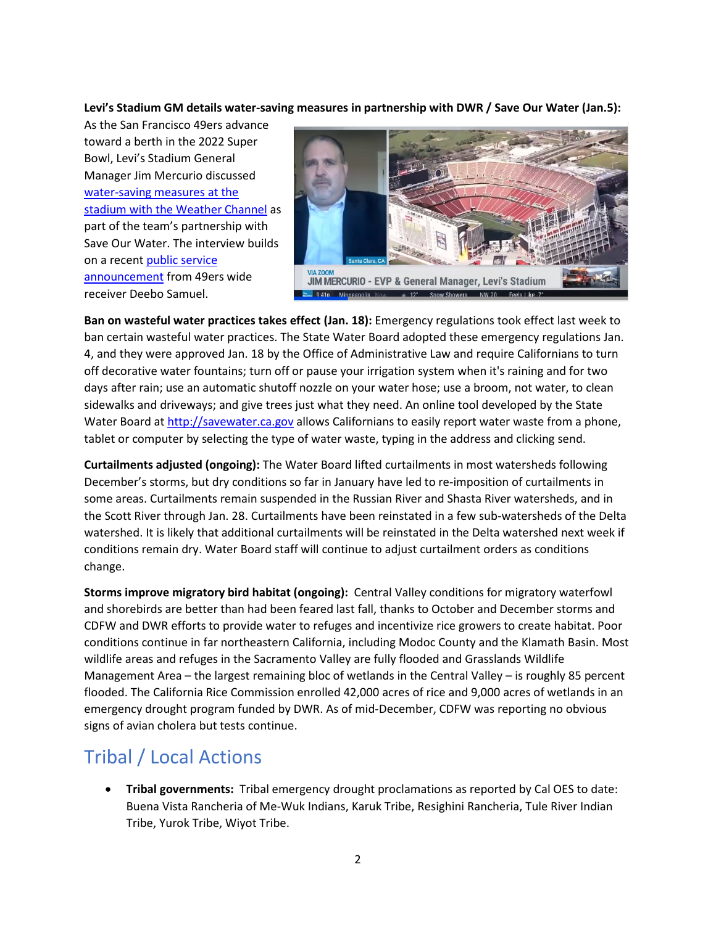**Levi's Stadium GM details water-saving measures in partnership with DWR / Save Our Water (Jan.5):** 

As the San Francisco 49ers advance toward a berth in the 2022 Super Bowl, Levi's Stadium General Manager Jim Mercurio discussed [water-saving measures at the](https://49ers.sharefile.com/share/view/s9c7f4be9dc69472e93b6e14b72e832a3)  [stadium with the Weather Channel](https://49ers.sharefile.com/share/view/s9c7f4be9dc69472e93b6e14b72e832a3) as part of the team's partnership with Save Our Water. The interview builds on a recent [public service](https://twitter.com/49ers/status/1466482305011273733)  [announcement](https://twitter.com/49ers/status/1466482305011273733) from 49ers wide receiver Deebo Samuel.



**Ban on wasteful water practices takes effect (Jan. 18):** Emergency regulations took effect last week to ban certain wasteful water practices. The State Water Board adopted these emergency regulations Jan. 4, and they were approved Jan. 18 by the Office of Administrative Law and require Californians to turn off decorative water fountains; turn off or pause your irrigation system when it's raining and for two days after rain; use an automatic shutoff nozzle on your water hose; use a broom, not water, to clean sidewalks and driveways; and give trees just what they need. An online tool developed by the State Water Board at [http://savewater.ca.gov](http://savewater.ca.gov/) allows Californians to easily report water waste from a phone, tablet or computer by selecting the type of water waste, typing in the address and clicking send.

**Curtailments adjusted (ongoing):** The Water Board lifted curtailments in most watersheds following December's storms, but dry conditions so far in January have led to re-imposition of curtailments in some areas. Curtailments remain suspended in the Russian River and Shasta River watersheds, and in the Scott River through Jan. 28. Curtailments have been reinstated in a few sub-watersheds of the Delta watershed. It is likely that additional curtailments will be reinstated in the Delta watershed next week if conditions remain dry. Water Board staff will continue to adjust curtailment orders as conditions change.

**Storms improve migratory bird habitat (ongoing):** Central Valley conditions for migratory waterfowl and shorebirds are better than had been feared last fall, thanks to October and December storms and CDFW and DWR efforts to provide water to refuges and incentivize rice growers to create habitat. Poor conditions continue in far northeastern California, including Modoc County and the Klamath Basin. Most wildlife areas and refuges in the Sacramento Valley are fully flooded and Grasslands Wildlife Management Area – the largest remaining bloc of wetlands in the Central Valley – is roughly 85 percent flooded. The California Rice Commission enrolled 42,000 acres of rice and 9,000 acres of wetlands in an emergency drought program funded by DWR. As of mid-December, CDFW was reporting no obvious signs of avian cholera but tests continue.

## Tribal / Local Actions

• **Tribal governments:** Tribal emergency drought proclamations as reported by Cal OES to date: Buena Vista Rancheria of Me-Wuk Indians, Karuk Tribe, Resighini Rancheria, Tule River Indian Tribe, Yurok Tribe, Wiyot Tribe.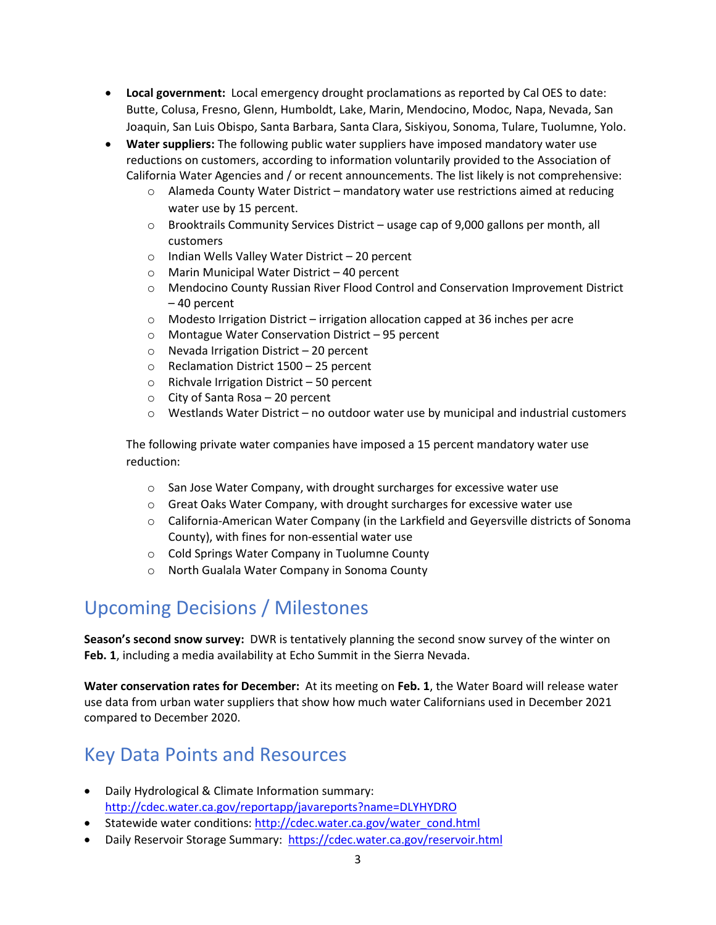- **Local government:** Local emergency drought proclamations as reported by Cal OES to date: Butte, Colusa, Fresno, Glenn, Humboldt, Lake, Marin, Mendocino, Modoc, Napa, Nevada, San Joaquin, San Luis Obispo, Santa Barbara, Santa Clara, Siskiyou, Sonoma, Tulare, Tuolumne, Yolo.
- **Water suppliers:** The following public water suppliers have imposed mandatory water use reductions on customers, according to information voluntarily provided to the Association of California Water Agencies and / or recent announcements. The list likely is not comprehensive:
	- o Alameda County Water District mandatory water use restrictions aimed at reducing water use by 15 percent.
	- $\circ$  Brooktrails Community Services District usage cap of 9,000 gallons per month, all customers
	- o Indian Wells Valley Water District 20 percent
	- o Marin Municipal Water District 40 percent
	- o Mendocino County Russian River Flood Control and Conservation Improvement District – 40 percent
	- $\circ$  Modesto Irrigation District irrigation allocation capped at 36 inches per acre
	- o Montague Water Conservation District 95 percent
	- o Nevada Irrigation District 20 percent
	- o Reclamation District 1500 25 percent
	- o Richvale Irrigation District 50 percent
	- o City of Santa Rosa 20 percent
	- $\circ$  Westlands Water District no outdoor water use by municipal and industrial customers

The following private water companies have imposed a 15 percent mandatory water use reduction:

- o San Jose Water Company, with drought surcharges for excessive water use
- o Great Oaks Water Company, with drought surcharges for excessive water use
- o California-American Water Company (in the Larkfield and Geyersville districts of Sonoma County), with fines for non-essential water use
- o Cold Springs Water Company in Tuolumne County
- o North Gualala Water Company in Sonoma County

## Upcoming Decisions / Milestones

**Season's second snow survey:** DWR is tentatively planning the second snow survey of the winter on **Feb. 1**, including a media availability at Echo Summit in the Sierra Nevada.

**Water conservation rates for December:** At its meeting on **Feb. 1**, the Water Board will release water use data from urban water suppliers that show how much water Californians used in December 2021 compared to December 2020.

#### Key Data Points and Resources

- Daily Hydrological & Climate Information summary: <http://cdec.water.ca.gov/reportapp/javareports?name=DLYHYDRO>
- Statewide water conditions: [http://cdec.water.ca.gov/water\\_cond.html](http://cdec.water.ca.gov/water_cond.html)
- Daily Reservoir Storage Summary:<https://cdec.water.ca.gov/reservoir.html>